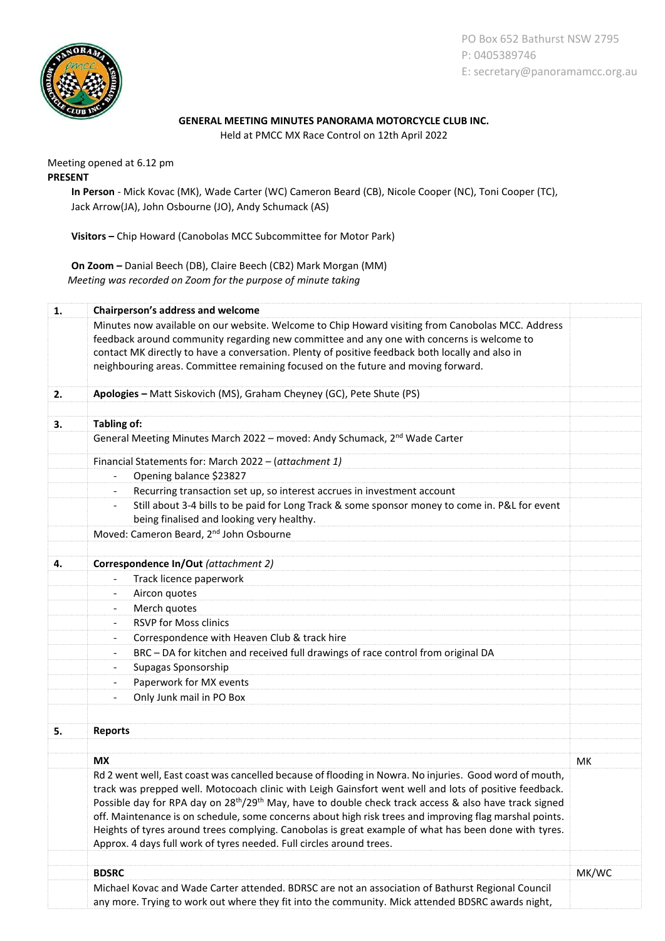

PO Box 652 Bathurst NSW 2795 P: 0405389746 E: secretary@panoramamcc.org.au

## **GENERAL MEETING MINUTES PANORAMA MOTORCYCLE CLUB INC.**

Held at PMCC MX Race Control on 12th April 2022

Meeting opened at 6.12 pm **PRESENT**

> **In Person** - Mick Kovac (MK), Wade Carter (WC) Cameron Beard (CB), Nicole Cooper (NC), Toni Cooper (TC), Jack Arrow(JA), John Osbourne (JO), Andy Schumack (AS)

**Visitors –** Chip Howard (Canobolas MCC Subcommittee for Motor Park)

**On Zoom –** Danial Beech (DB), Claire Beech (CB2) Mark Morgan (MM) *Meeting was recorded on Zoom for the purpose of minute taking*

| Minutes now available on our website. Welcome to Chip Howard visiting from Canobolas MCC. Address<br>feedback around community regarding new committee and any one with concerns is welcome to<br>contact MK directly to have a conversation. Plenty of positive feedback both locally and also in<br>neighbouring areas. Committee remaining focused on the future and moving forward.<br>Apologies - Matt Siskovich (MS), Graham Cheyney (GC), Pete Shute (PS)<br>2.<br>Tabling of:<br>3.<br>General Meeting Minutes March 2022 - moved: Andy Schumack, 2 <sup>nd</sup> Wade Carter<br>Financial Statements for: March 2022 - (attachment 1)<br>Opening balance \$23827<br>$\overline{\phantom{a}}$<br>Recurring transaction set up, so interest accrues in investment account<br>Still about 3-4 bills to be paid for Long Track & some sponsor money to come in. P&L for event<br>$\overline{\phantom{a}}$<br>being finalised and looking very healthy.<br>Moved: Cameron Beard, 2 <sup>nd</sup> John Osbourne<br>Correspondence In/Out (attachment 2)<br>4.<br>Track licence paperwork<br>$\overline{\phantom{a}}$<br>Aircon quotes<br>$\overline{\phantom{a}}$<br>Merch quotes<br><b>RSVP for Moss clinics</b><br>Correspondence with Heaven Club & track hire<br>$\overline{\phantom{a}}$<br>BRC - DA for kitchen and received full drawings of race control from original DA<br>$\overline{\phantom{a}}$<br>Supagas Sponsorship<br>Paperwork for MX events<br>Only Junk mail in PO Box<br>$\overline{\phantom{a}}$<br><b>Reports</b><br>5.<br><b>MX</b><br>МK<br>Rd 2 went well, East coast was cancelled because of flooding in Nowra. No injuries. Good word of mouth,<br>track was prepped well. Motocoach clinic with Leigh Gainsfort went well and lots of positive feedback.<br>Possible day for RPA day on 28 <sup>th</sup> /29 <sup>th</sup> May, have to double check track access & also have track signed<br>off. Maintenance is on schedule, some concerns about high risk trees and improving flag marshal points.<br>Heights of tyres around trees complying. Canobolas is great example of what has been done with tyres.<br>Approx. 4 days full work of tyres needed. Full circles around trees.<br>MK/WC<br><b>BDSRC</b><br>Michael Kovac and Wade Carter attended. BDRSC are not an association of Bathurst Regional Council<br>any more. Trying to work out where they fit into the community. Mick attended BDSRC awards night, | 1. | Chairperson's address and welcome |  |  |  |
|-------------------------------------------------------------------------------------------------------------------------------------------------------------------------------------------------------------------------------------------------------------------------------------------------------------------------------------------------------------------------------------------------------------------------------------------------------------------------------------------------------------------------------------------------------------------------------------------------------------------------------------------------------------------------------------------------------------------------------------------------------------------------------------------------------------------------------------------------------------------------------------------------------------------------------------------------------------------------------------------------------------------------------------------------------------------------------------------------------------------------------------------------------------------------------------------------------------------------------------------------------------------------------------------------------------------------------------------------------------------------------------------------------------------------------------------------------------------------------------------------------------------------------------------------------------------------------------------------------------------------------------------------------------------------------------------------------------------------------------------------------------------------------------------------------------------------------------------------------------------------------------------------------------------------------------------------------------------------------------------------------------------------------------------------------------------------------------------------------------------------------------------------------------------------------------------------------------------------------------------------------------------------------------------------------------------------------------------------------------------------------------------------------------------------------------------------------------|----|-----------------------------------|--|--|--|
|                                                                                                                                                                                                                                                                                                                                                                                                                                                                                                                                                                                                                                                                                                                                                                                                                                                                                                                                                                                                                                                                                                                                                                                                                                                                                                                                                                                                                                                                                                                                                                                                                                                                                                                                                                                                                                                                                                                                                                                                                                                                                                                                                                                                                                                                                                                                                                                                                                                             |    |                                   |  |  |  |
|                                                                                                                                                                                                                                                                                                                                                                                                                                                                                                                                                                                                                                                                                                                                                                                                                                                                                                                                                                                                                                                                                                                                                                                                                                                                                                                                                                                                                                                                                                                                                                                                                                                                                                                                                                                                                                                                                                                                                                                                                                                                                                                                                                                                                                                                                                                                                                                                                                                             |    |                                   |  |  |  |
|                                                                                                                                                                                                                                                                                                                                                                                                                                                                                                                                                                                                                                                                                                                                                                                                                                                                                                                                                                                                                                                                                                                                                                                                                                                                                                                                                                                                                                                                                                                                                                                                                                                                                                                                                                                                                                                                                                                                                                                                                                                                                                                                                                                                                                                                                                                                                                                                                                                             |    |                                   |  |  |  |
|                                                                                                                                                                                                                                                                                                                                                                                                                                                                                                                                                                                                                                                                                                                                                                                                                                                                                                                                                                                                                                                                                                                                                                                                                                                                                                                                                                                                                                                                                                                                                                                                                                                                                                                                                                                                                                                                                                                                                                                                                                                                                                                                                                                                                                                                                                                                                                                                                                                             |    |                                   |  |  |  |
|                                                                                                                                                                                                                                                                                                                                                                                                                                                                                                                                                                                                                                                                                                                                                                                                                                                                                                                                                                                                                                                                                                                                                                                                                                                                                                                                                                                                                                                                                                                                                                                                                                                                                                                                                                                                                                                                                                                                                                                                                                                                                                                                                                                                                                                                                                                                                                                                                                                             |    |                                   |  |  |  |
|                                                                                                                                                                                                                                                                                                                                                                                                                                                                                                                                                                                                                                                                                                                                                                                                                                                                                                                                                                                                                                                                                                                                                                                                                                                                                                                                                                                                                                                                                                                                                                                                                                                                                                                                                                                                                                                                                                                                                                                                                                                                                                                                                                                                                                                                                                                                                                                                                                                             |    |                                   |  |  |  |
|                                                                                                                                                                                                                                                                                                                                                                                                                                                                                                                                                                                                                                                                                                                                                                                                                                                                                                                                                                                                                                                                                                                                                                                                                                                                                                                                                                                                                                                                                                                                                                                                                                                                                                                                                                                                                                                                                                                                                                                                                                                                                                                                                                                                                                                                                                                                                                                                                                                             |    |                                   |  |  |  |
|                                                                                                                                                                                                                                                                                                                                                                                                                                                                                                                                                                                                                                                                                                                                                                                                                                                                                                                                                                                                                                                                                                                                                                                                                                                                                                                                                                                                                                                                                                                                                                                                                                                                                                                                                                                                                                                                                                                                                                                                                                                                                                                                                                                                                                                                                                                                                                                                                                                             |    |                                   |  |  |  |
|                                                                                                                                                                                                                                                                                                                                                                                                                                                                                                                                                                                                                                                                                                                                                                                                                                                                                                                                                                                                                                                                                                                                                                                                                                                                                                                                                                                                                                                                                                                                                                                                                                                                                                                                                                                                                                                                                                                                                                                                                                                                                                                                                                                                                                                                                                                                                                                                                                                             |    |                                   |  |  |  |
|                                                                                                                                                                                                                                                                                                                                                                                                                                                                                                                                                                                                                                                                                                                                                                                                                                                                                                                                                                                                                                                                                                                                                                                                                                                                                                                                                                                                                                                                                                                                                                                                                                                                                                                                                                                                                                                                                                                                                                                                                                                                                                                                                                                                                                                                                                                                                                                                                                                             |    |                                   |  |  |  |
|                                                                                                                                                                                                                                                                                                                                                                                                                                                                                                                                                                                                                                                                                                                                                                                                                                                                                                                                                                                                                                                                                                                                                                                                                                                                                                                                                                                                                                                                                                                                                                                                                                                                                                                                                                                                                                                                                                                                                                                                                                                                                                                                                                                                                                                                                                                                                                                                                                                             |    |                                   |  |  |  |
|                                                                                                                                                                                                                                                                                                                                                                                                                                                                                                                                                                                                                                                                                                                                                                                                                                                                                                                                                                                                                                                                                                                                                                                                                                                                                                                                                                                                                                                                                                                                                                                                                                                                                                                                                                                                                                                                                                                                                                                                                                                                                                                                                                                                                                                                                                                                                                                                                                                             |    |                                   |  |  |  |
|                                                                                                                                                                                                                                                                                                                                                                                                                                                                                                                                                                                                                                                                                                                                                                                                                                                                                                                                                                                                                                                                                                                                                                                                                                                                                                                                                                                                                                                                                                                                                                                                                                                                                                                                                                                                                                                                                                                                                                                                                                                                                                                                                                                                                                                                                                                                                                                                                                                             |    |                                   |  |  |  |
|                                                                                                                                                                                                                                                                                                                                                                                                                                                                                                                                                                                                                                                                                                                                                                                                                                                                                                                                                                                                                                                                                                                                                                                                                                                                                                                                                                                                                                                                                                                                                                                                                                                                                                                                                                                                                                                                                                                                                                                                                                                                                                                                                                                                                                                                                                                                                                                                                                                             |    |                                   |  |  |  |
|                                                                                                                                                                                                                                                                                                                                                                                                                                                                                                                                                                                                                                                                                                                                                                                                                                                                                                                                                                                                                                                                                                                                                                                                                                                                                                                                                                                                                                                                                                                                                                                                                                                                                                                                                                                                                                                                                                                                                                                                                                                                                                                                                                                                                                                                                                                                                                                                                                                             |    |                                   |  |  |  |
|                                                                                                                                                                                                                                                                                                                                                                                                                                                                                                                                                                                                                                                                                                                                                                                                                                                                                                                                                                                                                                                                                                                                                                                                                                                                                                                                                                                                                                                                                                                                                                                                                                                                                                                                                                                                                                                                                                                                                                                                                                                                                                                                                                                                                                                                                                                                                                                                                                                             |    |                                   |  |  |  |
|                                                                                                                                                                                                                                                                                                                                                                                                                                                                                                                                                                                                                                                                                                                                                                                                                                                                                                                                                                                                                                                                                                                                                                                                                                                                                                                                                                                                                                                                                                                                                                                                                                                                                                                                                                                                                                                                                                                                                                                                                                                                                                                                                                                                                                                                                                                                                                                                                                                             |    |                                   |  |  |  |
|                                                                                                                                                                                                                                                                                                                                                                                                                                                                                                                                                                                                                                                                                                                                                                                                                                                                                                                                                                                                                                                                                                                                                                                                                                                                                                                                                                                                                                                                                                                                                                                                                                                                                                                                                                                                                                                                                                                                                                                                                                                                                                                                                                                                                                                                                                                                                                                                                                                             |    |                                   |  |  |  |
|                                                                                                                                                                                                                                                                                                                                                                                                                                                                                                                                                                                                                                                                                                                                                                                                                                                                                                                                                                                                                                                                                                                                                                                                                                                                                                                                                                                                                                                                                                                                                                                                                                                                                                                                                                                                                                                                                                                                                                                                                                                                                                                                                                                                                                                                                                                                                                                                                                                             |    |                                   |  |  |  |
|                                                                                                                                                                                                                                                                                                                                                                                                                                                                                                                                                                                                                                                                                                                                                                                                                                                                                                                                                                                                                                                                                                                                                                                                                                                                                                                                                                                                                                                                                                                                                                                                                                                                                                                                                                                                                                                                                                                                                                                                                                                                                                                                                                                                                                                                                                                                                                                                                                                             |    |                                   |  |  |  |
|                                                                                                                                                                                                                                                                                                                                                                                                                                                                                                                                                                                                                                                                                                                                                                                                                                                                                                                                                                                                                                                                                                                                                                                                                                                                                                                                                                                                                                                                                                                                                                                                                                                                                                                                                                                                                                                                                                                                                                                                                                                                                                                                                                                                                                                                                                                                                                                                                                                             |    |                                   |  |  |  |
|                                                                                                                                                                                                                                                                                                                                                                                                                                                                                                                                                                                                                                                                                                                                                                                                                                                                                                                                                                                                                                                                                                                                                                                                                                                                                                                                                                                                                                                                                                                                                                                                                                                                                                                                                                                                                                                                                                                                                                                                                                                                                                                                                                                                                                                                                                                                                                                                                                                             |    |                                   |  |  |  |
|                                                                                                                                                                                                                                                                                                                                                                                                                                                                                                                                                                                                                                                                                                                                                                                                                                                                                                                                                                                                                                                                                                                                                                                                                                                                                                                                                                                                                                                                                                                                                                                                                                                                                                                                                                                                                                                                                                                                                                                                                                                                                                                                                                                                                                                                                                                                                                                                                                                             |    |                                   |  |  |  |
|                                                                                                                                                                                                                                                                                                                                                                                                                                                                                                                                                                                                                                                                                                                                                                                                                                                                                                                                                                                                                                                                                                                                                                                                                                                                                                                                                                                                                                                                                                                                                                                                                                                                                                                                                                                                                                                                                                                                                                                                                                                                                                                                                                                                                                                                                                                                                                                                                                                             |    |                                   |  |  |  |
|                                                                                                                                                                                                                                                                                                                                                                                                                                                                                                                                                                                                                                                                                                                                                                                                                                                                                                                                                                                                                                                                                                                                                                                                                                                                                                                                                                                                                                                                                                                                                                                                                                                                                                                                                                                                                                                                                                                                                                                                                                                                                                                                                                                                                                                                                                                                                                                                                                                             |    |                                   |  |  |  |
|                                                                                                                                                                                                                                                                                                                                                                                                                                                                                                                                                                                                                                                                                                                                                                                                                                                                                                                                                                                                                                                                                                                                                                                                                                                                                                                                                                                                                                                                                                                                                                                                                                                                                                                                                                                                                                                                                                                                                                                                                                                                                                                                                                                                                                                                                                                                                                                                                                                             |    |                                   |  |  |  |
|                                                                                                                                                                                                                                                                                                                                                                                                                                                                                                                                                                                                                                                                                                                                                                                                                                                                                                                                                                                                                                                                                                                                                                                                                                                                                                                                                                                                                                                                                                                                                                                                                                                                                                                                                                                                                                                                                                                                                                                                                                                                                                                                                                                                                                                                                                                                                                                                                                                             |    |                                   |  |  |  |
|                                                                                                                                                                                                                                                                                                                                                                                                                                                                                                                                                                                                                                                                                                                                                                                                                                                                                                                                                                                                                                                                                                                                                                                                                                                                                                                                                                                                                                                                                                                                                                                                                                                                                                                                                                                                                                                                                                                                                                                                                                                                                                                                                                                                                                                                                                                                                                                                                                                             |    |                                   |  |  |  |
|                                                                                                                                                                                                                                                                                                                                                                                                                                                                                                                                                                                                                                                                                                                                                                                                                                                                                                                                                                                                                                                                                                                                                                                                                                                                                                                                                                                                                                                                                                                                                                                                                                                                                                                                                                                                                                                                                                                                                                                                                                                                                                                                                                                                                                                                                                                                                                                                                                                             |    |                                   |  |  |  |
|                                                                                                                                                                                                                                                                                                                                                                                                                                                                                                                                                                                                                                                                                                                                                                                                                                                                                                                                                                                                                                                                                                                                                                                                                                                                                                                                                                                                                                                                                                                                                                                                                                                                                                                                                                                                                                                                                                                                                                                                                                                                                                                                                                                                                                                                                                                                                                                                                                                             |    |                                   |  |  |  |
|                                                                                                                                                                                                                                                                                                                                                                                                                                                                                                                                                                                                                                                                                                                                                                                                                                                                                                                                                                                                                                                                                                                                                                                                                                                                                                                                                                                                                                                                                                                                                                                                                                                                                                                                                                                                                                                                                                                                                                                                                                                                                                                                                                                                                                                                                                                                                                                                                                                             |    |                                   |  |  |  |
|                                                                                                                                                                                                                                                                                                                                                                                                                                                                                                                                                                                                                                                                                                                                                                                                                                                                                                                                                                                                                                                                                                                                                                                                                                                                                                                                                                                                                                                                                                                                                                                                                                                                                                                                                                                                                                                                                                                                                                                                                                                                                                                                                                                                                                                                                                                                                                                                                                                             |    |                                   |  |  |  |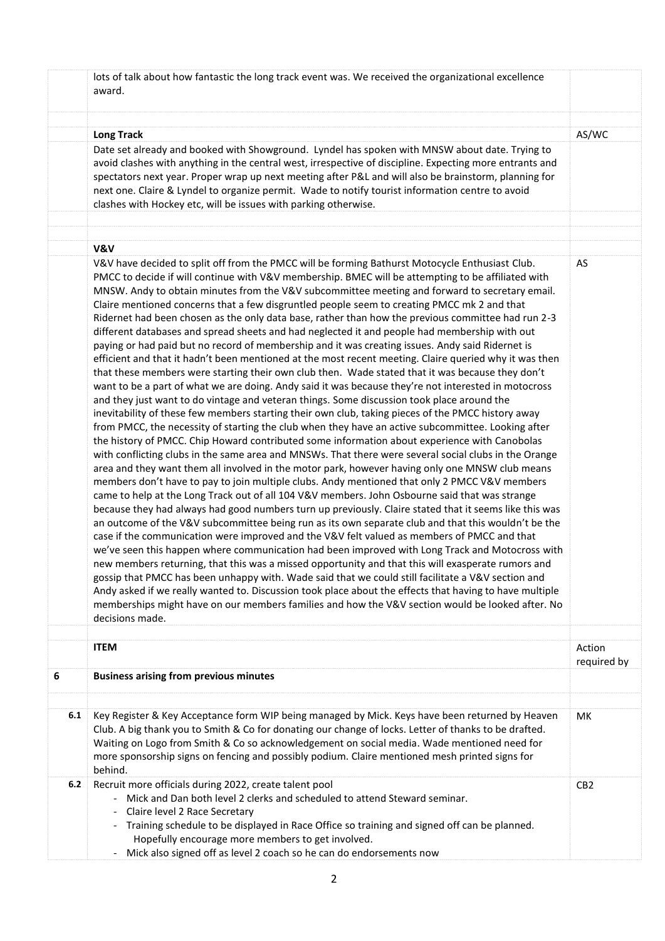|     | lots of talk about how fantastic the long track event was. We received the organizational excellence<br>award.                                                                                                                                                                                                                                                                                                                                                                                                                                                                                                                                                                                                                                                                                                                                                                                                                                                                                                                                                                                                                                                                                                                                                                                                                                                                                                                                                                                                                                                                                                                                                                                                                                                                                                                                                                                                                                                                                                                                                                                                                                                                                                                                                                                                                                                                                                                                                                                                                                                                                                                  |                       |
|-----|---------------------------------------------------------------------------------------------------------------------------------------------------------------------------------------------------------------------------------------------------------------------------------------------------------------------------------------------------------------------------------------------------------------------------------------------------------------------------------------------------------------------------------------------------------------------------------------------------------------------------------------------------------------------------------------------------------------------------------------------------------------------------------------------------------------------------------------------------------------------------------------------------------------------------------------------------------------------------------------------------------------------------------------------------------------------------------------------------------------------------------------------------------------------------------------------------------------------------------------------------------------------------------------------------------------------------------------------------------------------------------------------------------------------------------------------------------------------------------------------------------------------------------------------------------------------------------------------------------------------------------------------------------------------------------------------------------------------------------------------------------------------------------------------------------------------------------------------------------------------------------------------------------------------------------------------------------------------------------------------------------------------------------------------------------------------------------------------------------------------------------------------------------------------------------------------------------------------------------------------------------------------------------------------------------------------------------------------------------------------------------------------------------------------------------------------------------------------------------------------------------------------------------------------------------------------------------------------------------------------------------|-----------------------|
|     |                                                                                                                                                                                                                                                                                                                                                                                                                                                                                                                                                                                                                                                                                                                                                                                                                                                                                                                                                                                                                                                                                                                                                                                                                                                                                                                                                                                                                                                                                                                                                                                                                                                                                                                                                                                                                                                                                                                                                                                                                                                                                                                                                                                                                                                                                                                                                                                                                                                                                                                                                                                                                                 |                       |
|     | <b>Long Track</b>                                                                                                                                                                                                                                                                                                                                                                                                                                                                                                                                                                                                                                                                                                                                                                                                                                                                                                                                                                                                                                                                                                                                                                                                                                                                                                                                                                                                                                                                                                                                                                                                                                                                                                                                                                                                                                                                                                                                                                                                                                                                                                                                                                                                                                                                                                                                                                                                                                                                                                                                                                                                               | AS/WC                 |
|     | Date set already and booked with Showground. Lyndel has spoken with MNSW about date. Trying to<br>avoid clashes with anything in the central west, irrespective of discipline. Expecting more entrants and<br>spectators next year. Proper wrap up next meeting after P&L and will also be brainstorm, planning for<br>next one. Claire & Lyndel to organize permit. Wade to notify tourist information centre to avoid                                                                                                                                                                                                                                                                                                                                                                                                                                                                                                                                                                                                                                                                                                                                                                                                                                                                                                                                                                                                                                                                                                                                                                                                                                                                                                                                                                                                                                                                                                                                                                                                                                                                                                                                                                                                                                                                                                                                                                                                                                                                                                                                                                                                         |                       |
|     | clashes with Hockey etc, will be issues with parking otherwise.                                                                                                                                                                                                                                                                                                                                                                                                                                                                                                                                                                                                                                                                                                                                                                                                                                                                                                                                                                                                                                                                                                                                                                                                                                                                                                                                                                                                                                                                                                                                                                                                                                                                                                                                                                                                                                                                                                                                                                                                                                                                                                                                                                                                                                                                                                                                                                                                                                                                                                                                                                 |                       |
|     |                                                                                                                                                                                                                                                                                                                                                                                                                                                                                                                                                                                                                                                                                                                                                                                                                                                                                                                                                                                                                                                                                                                                                                                                                                                                                                                                                                                                                                                                                                                                                                                                                                                                                                                                                                                                                                                                                                                                                                                                                                                                                                                                                                                                                                                                                                                                                                                                                                                                                                                                                                                                                                 |                       |
|     | V&V                                                                                                                                                                                                                                                                                                                                                                                                                                                                                                                                                                                                                                                                                                                                                                                                                                                                                                                                                                                                                                                                                                                                                                                                                                                                                                                                                                                                                                                                                                                                                                                                                                                                                                                                                                                                                                                                                                                                                                                                                                                                                                                                                                                                                                                                                                                                                                                                                                                                                                                                                                                                                             |                       |
|     | V&V have decided to split off from the PMCC will be forming Bathurst Motocycle Enthusiast Club.                                                                                                                                                                                                                                                                                                                                                                                                                                                                                                                                                                                                                                                                                                                                                                                                                                                                                                                                                                                                                                                                                                                                                                                                                                                                                                                                                                                                                                                                                                                                                                                                                                                                                                                                                                                                                                                                                                                                                                                                                                                                                                                                                                                                                                                                                                                                                                                                                                                                                                                                 | AS                    |
|     | PMCC to decide if will continue with V&V membership. BMEC will be attempting to be affiliated with<br>MNSW. Andy to obtain minutes from the V&V subcommittee meeting and forward to secretary email.<br>Claire mentioned concerns that a few disgruntled people seem to creating PMCC mk 2 and that<br>Ridernet had been chosen as the only data base, rather than how the previous committee had run 2-3<br>different databases and spread sheets and had neglected it and people had membership with out<br>paying or had paid but no record of membership and it was creating issues. Andy said Ridernet is<br>efficient and that it hadn't been mentioned at the most recent meeting. Claire queried why it was then<br>that these members were starting their own club then. Wade stated that it was because they don't<br>want to be a part of what we are doing. Andy said it was because they're not interested in motocross<br>and they just want to do vintage and veteran things. Some discussion took place around the<br>inevitability of these few members starting their own club, taking pieces of the PMCC history away<br>from PMCC, the necessity of starting the club when they have an active subcommittee. Looking after<br>the history of PMCC. Chip Howard contributed some information about experience with Canobolas<br>with conflicting clubs in the same area and MNSWs. That there were several social clubs in the Orange<br>area and they want them all involved in the motor park, however having only one MNSW club means<br>members don't have to pay to join multiple clubs. Andy mentioned that only 2 PMCC V&V members<br>came to help at the Long Track out of all 104 V&V members. John Osbourne said that was strange<br>because they had always had good numbers turn up previously. Claire stated that it seems like this was<br>an outcome of the V&V subcommittee being run as its own separate club and that this wouldn't be the<br>case if the communication were improved and the V&V felt valued as members of PMCC and that<br>we've seen this happen where communication had been improved with Long Track and Motocross with<br>new members returning, that this was a missed opportunity and that this will exasperate rumors and<br>gossip that PMCC has been unhappy with. Wade said that we could still facilitate a V&V section and<br>Andy asked if we really wanted to. Discussion took place about the effects that having to have multiple<br>memberships might have on our members families and how the V&V section would be looked after. No<br>decisions made. |                       |
|     |                                                                                                                                                                                                                                                                                                                                                                                                                                                                                                                                                                                                                                                                                                                                                                                                                                                                                                                                                                                                                                                                                                                                                                                                                                                                                                                                                                                                                                                                                                                                                                                                                                                                                                                                                                                                                                                                                                                                                                                                                                                                                                                                                                                                                                                                                                                                                                                                                                                                                                                                                                                                                                 |                       |
|     | <b>ITEM</b>                                                                                                                                                                                                                                                                                                                                                                                                                                                                                                                                                                                                                                                                                                                                                                                                                                                                                                                                                                                                                                                                                                                                                                                                                                                                                                                                                                                                                                                                                                                                                                                                                                                                                                                                                                                                                                                                                                                                                                                                                                                                                                                                                                                                                                                                                                                                                                                                                                                                                                                                                                                                                     | Action<br>required by |
| 6   | <b>Business arising from previous minutes</b>                                                                                                                                                                                                                                                                                                                                                                                                                                                                                                                                                                                                                                                                                                                                                                                                                                                                                                                                                                                                                                                                                                                                                                                                                                                                                                                                                                                                                                                                                                                                                                                                                                                                                                                                                                                                                                                                                                                                                                                                                                                                                                                                                                                                                                                                                                                                                                                                                                                                                                                                                                                   |                       |
|     |                                                                                                                                                                                                                                                                                                                                                                                                                                                                                                                                                                                                                                                                                                                                                                                                                                                                                                                                                                                                                                                                                                                                                                                                                                                                                                                                                                                                                                                                                                                                                                                                                                                                                                                                                                                                                                                                                                                                                                                                                                                                                                                                                                                                                                                                                                                                                                                                                                                                                                                                                                                                                                 |                       |
| 6.1 | Key Register & Key Acceptance form WIP being managed by Mick. Keys have been returned by Heaven                                                                                                                                                                                                                                                                                                                                                                                                                                                                                                                                                                                                                                                                                                                                                                                                                                                                                                                                                                                                                                                                                                                                                                                                                                                                                                                                                                                                                                                                                                                                                                                                                                                                                                                                                                                                                                                                                                                                                                                                                                                                                                                                                                                                                                                                                                                                                                                                                                                                                                                                 | MK                    |
|     | Club. A big thank you to Smith & Co for donating our change of locks. Letter of thanks to be drafted.                                                                                                                                                                                                                                                                                                                                                                                                                                                                                                                                                                                                                                                                                                                                                                                                                                                                                                                                                                                                                                                                                                                                                                                                                                                                                                                                                                                                                                                                                                                                                                                                                                                                                                                                                                                                                                                                                                                                                                                                                                                                                                                                                                                                                                                                                                                                                                                                                                                                                                                           |                       |
|     | Waiting on Logo from Smith & Co so acknowledgement on social media. Wade mentioned need for<br>more sponsorship signs on fencing and possibly podium. Claire mentioned mesh printed signs for<br>behind.                                                                                                                                                                                                                                                                                                                                                                                                                                                                                                                                                                                                                                                                                                                                                                                                                                                                                                                                                                                                                                                                                                                                                                                                                                                                                                                                                                                                                                                                                                                                                                                                                                                                                                                                                                                                                                                                                                                                                                                                                                                                                                                                                                                                                                                                                                                                                                                                                        |                       |
| 6.2 | Recruit more officials during 2022, create talent pool                                                                                                                                                                                                                                                                                                                                                                                                                                                                                                                                                                                                                                                                                                                                                                                                                                                                                                                                                                                                                                                                                                                                                                                                                                                                                                                                                                                                                                                                                                                                                                                                                                                                                                                                                                                                                                                                                                                                                                                                                                                                                                                                                                                                                                                                                                                                                                                                                                                                                                                                                                          | CB <sub>2</sub>       |
|     | Mick and Dan both level 2 clerks and scheduled to attend Steward seminar.                                                                                                                                                                                                                                                                                                                                                                                                                                                                                                                                                                                                                                                                                                                                                                                                                                                                                                                                                                                                                                                                                                                                                                                                                                                                                                                                                                                                                                                                                                                                                                                                                                                                                                                                                                                                                                                                                                                                                                                                                                                                                                                                                                                                                                                                                                                                                                                                                                                                                                                                                       |                       |
|     | Claire level 2 Race Secretary<br>- Training schedule to be displayed in Race Office so training and signed off can be planned.                                                                                                                                                                                                                                                                                                                                                                                                                                                                                                                                                                                                                                                                                                                                                                                                                                                                                                                                                                                                                                                                                                                                                                                                                                                                                                                                                                                                                                                                                                                                                                                                                                                                                                                                                                                                                                                                                                                                                                                                                                                                                                                                                                                                                                                                                                                                                                                                                                                                                                  |                       |
|     | Hopefully encourage more members to get involved.                                                                                                                                                                                                                                                                                                                                                                                                                                                                                                                                                                                                                                                                                                                                                                                                                                                                                                                                                                                                                                                                                                                                                                                                                                                                                                                                                                                                                                                                                                                                                                                                                                                                                                                                                                                                                                                                                                                                                                                                                                                                                                                                                                                                                                                                                                                                                                                                                                                                                                                                                                               |                       |
|     | Mick also signed off as level 2 coach so he can do endorsements now<br>$\overline{\phantom{a}}$                                                                                                                                                                                                                                                                                                                                                                                                                                                                                                                                                                                                                                                                                                                                                                                                                                                                                                                                                                                                                                                                                                                                                                                                                                                                                                                                                                                                                                                                                                                                                                                                                                                                                                                                                                                                                                                                                                                                                                                                                                                                                                                                                                                                                                                                                                                                                                                                                                                                                                                                 |                       |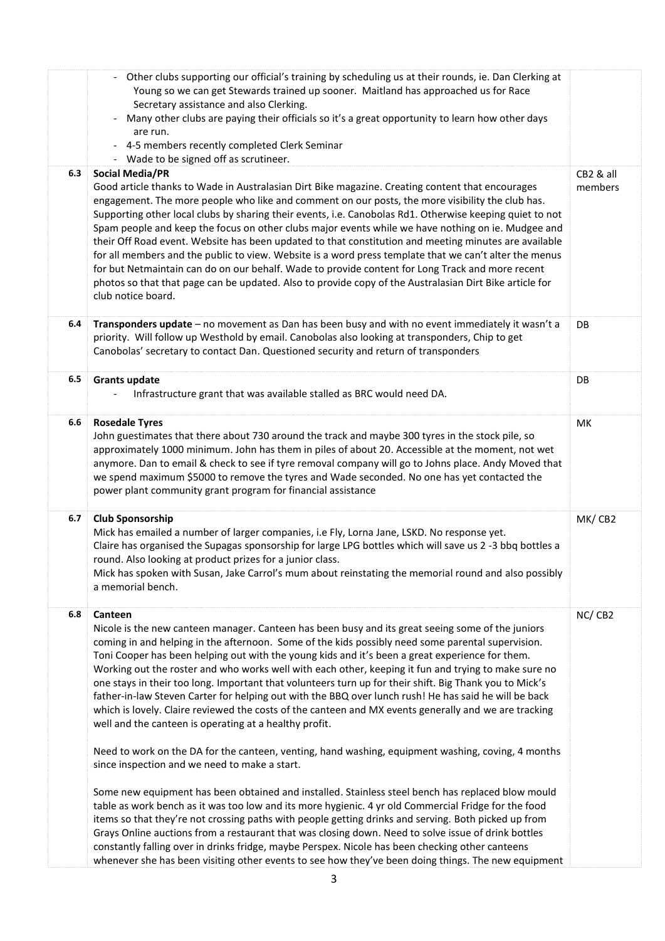|     | - Other clubs supporting our official's training by scheduling us at their rounds, ie. Dan Clerking at<br>Young so we can get Stewards trained up sooner. Maitland has approached us for Race<br>Secretary assistance and also Clerking.<br>Many other clubs are paying their officials so it's a great opportunity to learn how other days<br>$\blacksquare$<br>are run.<br>- 4-5 members recently completed Clerk Seminar<br>- Wade to be signed off as scrutineer.                                                                                                                                                                                                                                                                                                                                                                                                                                    |                      |
|-----|----------------------------------------------------------------------------------------------------------------------------------------------------------------------------------------------------------------------------------------------------------------------------------------------------------------------------------------------------------------------------------------------------------------------------------------------------------------------------------------------------------------------------------------------------------------------------------------------------------------------------------------------------------------------------------------------------------------------------------------------------------------------------------------------------------------------------------------------------------------------------------------------------------|----------------------|
| 6.3 | <b>Social Media/PR</b><br>Good article thanks to Wade in Australasian Dirt Bike magazine. Creating content that encourages<br>engagement. The more people who like and comment on our posts, the more visibility the club has.<br>Supporting other local clubs by sharing their events, i.e. Canobolas Rd1. Otherwise keeping quiet to not<br>Spam people and keep the focus on other clubs major events while we have nothing on ie. Mudgee and<br>their Off Road event. Website has been updated to that constitution and meeting minutes are available<br>for all members and the public to view. Website is a word press template that we can't alter the menus<br>for but Netmaintain can do on our behalf. Wade to provide content for Long Track and more recent<br>photos so that that page can be updated. Also to provide copy of the Australasian Dirt Bike article for<br>club notice board. | CB2 & all<br>members |
| 6.4 | Transponders update - no movement as Dan has been busy and with no event immediately it wasn't a<br>priority. Will follow up Westhold by email. Canobolas also looking at transponders, Chip to get<br>Canobolas' secretary to contact Dan. Questioned security and return of transponders                                                                                                                                                                                                                                                                                                                                                                                                                                                                                                                                                                                                               | DB                   |
| 6.5 | <b>Grants update</b><br>Infrastructure grant that was available stalled as BRC would need DA.                                                                                                                                                                                                                                                                                                                                                                                                                                                                                                                                                                                                                                                                                                                                                                                                            | DB                   |
| 6.6 | <b>Rosedale Tyres</b><br>John guestimates that there about 730 around the track and maybe 300 tyres in the stock pile, so<br>approximately 1000 minimum. John has them in piles of about 20. Accessible at the moment, not wet<br>anymore. Dan to email & check to see if tyre removal company will go to Johns place. Andy Moved that<br>we spend maximum \$5000 to remove the tyres and Wade seconded. No one has yet contacted the<br>power plant community grant program for financial assistance                                                                                                                                                                                                                                                                                                                                                                                                    | MK                   |
| 6.7 | <b>Club Sponsorship</b><br>Mick has emailed a number of larger companies, i.e Fly, Lorna Jane, LSKD. No response yet.<br>Claire has organised the Supagas sponsorship for large LPG bottles which will save us 2 -3 bbq bottles a<br>round. Also looking at product prizes for a junior class.<br>Mick has spoken with Susan, Jake Carrol's mum about reinstating the memorial round and also possibly<br>a memorial bench.                                                                                                                                                                                                                                                                                                                                                                                                                                                                              | MK/CB2               |
| 6.8 | Canteen<br>Nicole is the new canteen manager. Canteen has been busy and its great seeing some of the juniors<br>coming in and helping in the afternoon. Some of the kids possibly need some parental supervision.<br>Toni Cooper has been helping out with the young kids and it's been a great experience for them.<br>Working out the roster and who works well with each other, keeping it fun and trying to make sure no<br>one stays in their too long. Important that volunteers turn up for their shift. Big Thank you to Mick's<br>father-in-law Steven Carter for helping out with the BBQ over lunch rush! He has said he will be back<br>which is lovely. Claire reviewed the costs of the canteen and MX events generally and we are tracking<br>well and the canteen is operating at a healthy profit.                                                                                      | NC/CB2               |
|     | Need to work on the DA for the canteen, venting, hand washing, equipment washing, coving, 4 months<br>since inspection and we need to make a start.                                                                                                                                                                                                                                                                                                                                                                                                                                                                                                                                                                                                                                                                                                                                                      |                      |
|     | Some new equipment has been obtained and installed. Stainless steel bench has replaced blow mould<br>table as work bench as it was too low and its more hygienic. 4 yr old Commercial Fridge for the food<br>items so that they're not crossing paths with people getting drinks and serving. Both picked up from<br>Grays Online auctions from a restaurant that was closing down. Need to solve issue of drink bottles<br>constantly falling over in drinks fridge, maybe Perspex. Nicole has been checking other canteens<br>whenever she has been visiting other events to see how they've been doing things. The new equipment                                                                                                                                                                                                                                                                      |                      |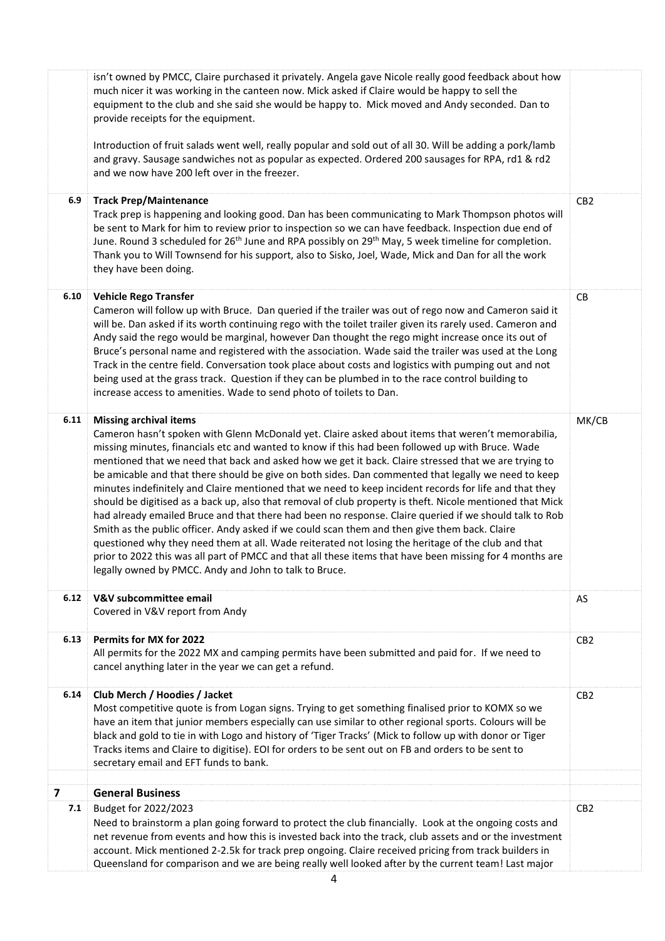|                          | isn't owned by PMCC, Claire purchased it privately. Angela gave Nicole really good feedback about how<br>much nicer it was working in the canteen now. Mick asked if Claire would be happy to sell the<br>equipment to the club and she said she would be happy to. Mick moved and Andy seconded. Dan to<br>provide receipts for the equipment.<br>Introduction of fruit salads went well, really popular and sold out of all 30. Will be adding a pork/lamb<br>and gravy. Sausage sandwiches not as popular as expected. Ordered 200 sausages for RPA, rd1 & rd2<br>and we now have 200 left over in the freezer.                                                                                                                                                                                                                                                                                                                                                                                                                                                                                                                                                  |                 |
|--------------------------|---------------------------------------------------------------------------------------------------------------------------------------------------------------------------------------------------------------------------------------------------------------------------------------------------------------------------------------------------------------------------------------------------------------------------------------------------------------------------------------------------------------------------------------------------------------------------------------------------------------------------------------------------------------------------------------------------------------------------------------------------------------------------------------------------------------------------------------------------------------------------------------------------------------------------------------------------------------------------------------------------------------------------------------------------------------------------------------------------------------------------------------------------------------------|-----------------|
| 6.9                      | <b>Track Prep/Maintenance</b><br>Track prep is happening and looking good. Dan has been communicating to Mark Thompson photos will<br>be sent to Mark for him to review prior to inspection so we can have feedback. Inspection due end of<br>June. Round 3 scheduled for 26 <sup>th</sup> June and RPA possibly on 29 <sup>th</sup> May, 5 week timeline for completion.<br>Thank you to Will Townsend for his support, also to Sisko, Joel, Wade, Mick and Dan for all the work<br>they have been doing.                                                                                                                                                                                                                                                                                                                                                                                                                                                                                                                                                                                                                                                          | CB <sub>2</sub> |
| 6.10                     | <b>Vehicle Rego Transfer</b><br>Cameron will follow up with Bruce. Dan queried if the trailer was out of rego now and Cameron said it<br>will be. Dan asked if its worth continuing rego with the toilet trailer given its rarely used. Cameron and<br>Andy said the rego would be marginal, however Dan thought the rego might increase once its out of<br>Bruce's personal name and registered with the association. Wade said the trailer was used at the Long<br>Track in the centre field. Conversation took place about costs and logistics with pumping out and not<br>being used at the grass track. Question if they can be plumbed in to the race control building to<br>increase access to amenities. Wade to send photo of toilets to Dan.                                                                                                                                                                                                                                                                                                                                                                                                              | ${\sf CB}$      |
| 6.11                     | <b>Missing archival items</b><br>Cameron hasn't spoken with Glenn McDonald yet. Claire asked about items that weren't memorabilia,<br>missing minutes, financials etc and wanted to know if this had been followed up with Bruce. Wade<br>mentioned that we need that back and asked how we get it back. Claire stressed that we are trying to<br>be amicable and that there should be give on both sides. Dan commented that legally we need to keep<br>minutes indefinitely and Claire mentioned that we need to keep incident records for life and that they<br>should be digitised as a back up, also that removal of club property is theft. Nicole mentioned that Mick<br>had already emailed Bruce and that there had been no response. Claire queried if we should talk to Rob<br>Smith as the public officer. Andy asked if we could scan them and then give them back. Claire<br>questioned why they need them at all. Wade reiterated not losing the heritage of the club and that<br>prior to 2022 this was all part of PMCC and that all these items that have been missing for 4 months are<br>legally owned by PMCC. Andy and John to talk to Bruce. | MK/CB           |
| 6.12                     | V&V subcommittee email<br>Covered in V&V report from Andy                                                                                                                                                                                                                                                                                                                                                                                                                                                                                                                                                                                                                                                                                                                                                                                                                                                                                                                                                                                                                                                                                                           | AS              |
| 6.13                     | Permits for MX for 2022<br>All permits for the 2022 MX and camping permits have been submitted and paid for. If we need to<br>cancel anything later in the year we can get a refund.                                                                                                                                                                                                                                                                                                                                                                                                                                                                                                                                                                                                                                                                                                                                                                                                                                                                                                                                                                                | CB <sub>2</sub> |
| 6.14                     | Club Merch / Hoodies / Jacket<br>Most competitive quote is from Logan signs. Trying to get something finalised prior to KOMX so we<br>have an item that junior members especially can use similar to other regional sports. Colours will be<br>black and gold to tie in with Logo and history of 'Tiger Tracks' (Mick to follow up with donor or Tiger<br>Tracks items and Claire to digitise). EOI for orders to be sent out on FB and orders to be sent to<br>secretary email and EFT funds to bank.                                                                                                                                                                                                                                                                                                                                                                                                                                                                                                                                                                                                                                                              | CB <sub>2</sub> |
| $\overline{\phantom{a}}$ | <b>General Business</b>                                                                                                                                                                                                                                                                                                                                                                                                                                                                                                                                                                                                                                                                                                                                                                                                                                                                                                                                                                                                                                                                                                                                             |                 |
| 7.1                      | Budget for 2022/2023<br>Need to brainstorm a plan going forward to protect the club financially. Look at the ongoing costs and<br>net revenue from events and how this is invested back into the track, club assets and or the investment<br>account. Mick mentioned 2-2.5k for track prep ongoing. Claire received pricing from track builders in<br>Queensland for comparison and we are being really well looked after by the current team! Last major                                                                                                                                                                                                                                                                                                                                                                                                                                                                                                                                                                                                                                                                                                           | CB <sub>2</sub> |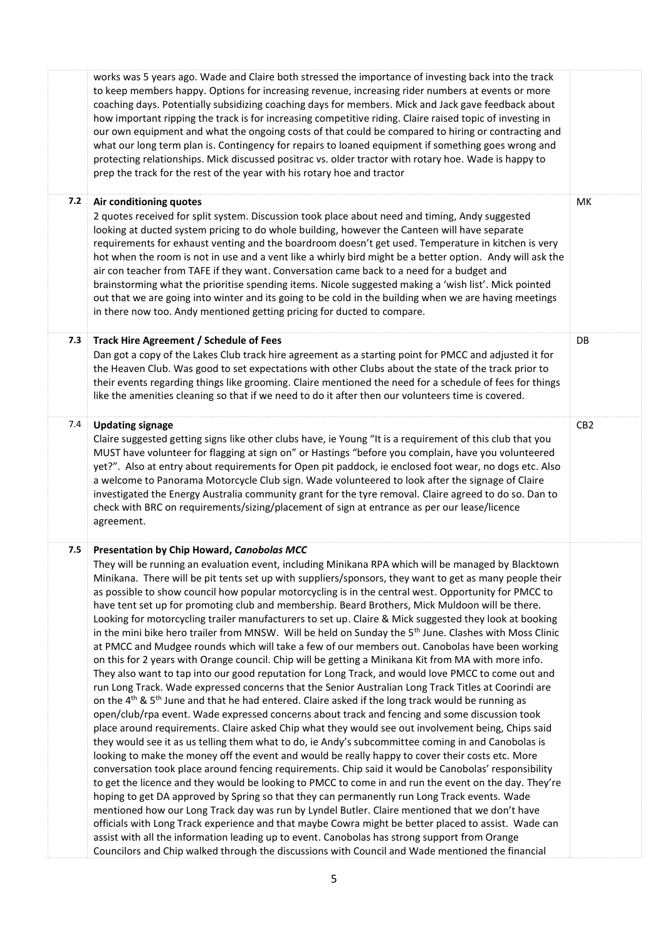|     | works was 5 years ago. Wade and Claire both stressed the importance of investing back into the track<br>to keep members happy. Options for increasing revenue, increasing rider numbers at events or more<br>coaching days. Potentially subsidizing coaching days for members. Mick and Jack gave feedback about<br>how important ripping the track is for increasing competitive riding. Claire raised topic of investing in<br>our own equipment and what the ongoing costs of that could be compared to hiring or contracting and<br>what our long term plan is. Contingency for repairs to loaned equipment if something goes wrong and<br>protecting relationships. Mick discussed positrac vs. older tractor with rotary hoe. Wade is happy to<br>prep the track for the rest of the year with his rotary hoe and tractor                                                                                                                                                                                                                                                                                                                                                                                                                                                                                                                                                                                                                                                                                                                                                                                                                                                                                                                                                                                                                                                                                                                                                                                                                                                                                                                                                                                                                                                                                                                                                                                |                 |
|-----|----------------------------------------------------------------------------------------------------------------------------------------------------------------------------------------------------------------------------------------------------------------------------------------------------------------------------------------------------------------------------------------------------------------------------------------------------------------------------------------------------------------------------------------------------------------------------------------------------------------------------------------------------------------------------------------------------------------------------------------------------------------------------------------------------------------------------------------------------------------------------------------------------------------------------------------------------------------------------------------------------------------------------------------------------------------------------------------------------------------------------------------------------------------------------------------------------------------------------------------------------------------------------------------------------------------------------------------------------------------------------------------------------------------------------------------------------------------------------------------------------------------------------------------------------------------------------------------------------------------------------------------------------------------------------------------------------------------------------------------------------------------------------------------------------------------------------------------------------------------------------------------------------------------------------------------------------------------------------------------------------------------------------------------------------------------------------------------------------------------------------------------------------------------------------------------------------------------------------------------------------------------------------------------------------------------------------------------------------------------------------------------------------------------|-----------------|
| 7.2 | Air conditioning quotes<br>2 quotes received for split system. Discussion took place about need and timing, Andy suggested<br>looking at ducted system pricing to do whole building, however the Canteen will have separate<br>requirements for exhaust venting and the boardroom doesn't get used. Temperature in kitchen is very<br>hot when the room is not in use and a vent like a whirly bird might be a better option. Andy will ask the<br>air con teacher from TAFE if they want. Conversation came back to a need for a budget and<br>brainstorming what the prioritise spending items. Nicole suggested making a 'wish list'. Mick pointed<br>out that we are going into winter and its going to be cold in the building when we are having meetings<br>in there now too. Andy mentioned getting pricing for ducted to compare.                                                                                                                                                                                                                                                                                                                                                                                                                                                                                                                                                                                                                                                                                                                                                                                                                                                                                                                                                                                                                                                                                                                                                                                                                                                                                                                                                                                                                                                                                                                                                                     | МK              |
| 7.3 | Track Hire Agreement / Schedule of Fees<br>Dan got a copy of the Lakes Club track hire agreement as a starting point for PMCC and adjusted it for<br>the Heaven Club. Was good to set expectations with other Clubs about the state of the track prior to<br>their events regarding things like grooming. Claire mentioned the need for a schedule of fees for things<br>like the amenities cleaning so that if we need to do it after then our volunteers time is covered.                                                                                                                                                                                                                                                                                                                                                                                                                                                                                                                                                                                                                                                                                                                                                                                                                                                                                                                                                                                                                                                                                                                                                                                                                                                                                                                                                                                                                                                                                                                                                                                                                                                                                                                                                                                                                                                                                                                                    | DB              |
| 7.4 | <b>Updating signage</b><br>Claire suggested getting signs like other clubs have, ie Young "It is a requirement of this club that you<br>MUST have volunteer for flagging at sign on" or Hastings "before you complain, have you volunteered<br>yet?". Also at entry about requirements for Open pit paddock, ie enclosed foot wear, no dogs etc. Also<br>a welcome to Panorama Motorcycle Club sign. Wade volunteered to look after the signage of Claire<br>investigated the Energy Australia community grant for the tyre removal. Claire agreed to do so. Dan to<br>check with BRC on requirements/sizing/placement of sign at entrance as per our lease/licence<br>agreement.                                                                                                                                                                                                                                                                                                                                                                                                                                                                                                                                                                                                                                                                                                                                                                                                                                                                                                                                                                                                                                                                                                                                                                                                                                                                                                                                                                                                                                                                                                                                                                                                                                                                                                                              | CB <sub>2</sub> |
| 7.5 | Presentation by Chip Howard, Canobolas MCC<br>They will be running an evaluation event, including Minikana RPA which will be managed by Blacktown<br>Minikana. There will be pit tents set up with suppliers/sponsors, they want to get as many people their<br>as possible to show council how popular motorcycling is in the central west. Opportunity for PMCC to<br>have tent set up for promoting club and membership. Beard Brothers, Mick Muldoon will be there.<br>Looking for motorcycling trailer manufacturers to set up. Claire & Mick suggested they look at booking<br>in the mini bike hero trailer from MNSW. Will be held on Sunday the 5 <sup>th</sup> June. Clashes with Moss Clinic<br>at PMCC and Mudgee rounds which will take a few of our members out. Canobolas have been working<br>on this for 2 years with Orange council. Chip will be getting a Minikana Kit from MA with more info.<br>They also want to tap into our good reputation for Long Track, and would love PMCC to come out and<br>run Long Track. Wade expressed concerns that the Senior Australian Long Track Titles at Coorindi are<br>on the 4 <sup>th</sup> & 5 <sup>th</sup> June and that he had entered. Claire asked if the long track would be running as<br>open/club/rpa event. Wade expressed concerns about track and fencing and some discussion took<br>place around requirements. Claire asked Chip what they would see out involvement being, Chips said<br>they would see it as us telling them what to do, ie Andy's subcommittee coming in and Canobolas is<br>looking to make the money off the event and would be really happy to cover their costs etc. More<br>conversation took place around fencing requirements. Chip said it would be Canobolas' responsibility<br>to get the licence and they would be looking to PMCC to come in and run the event on the day. They're<br>hoping to get DA approved by Spring so that they can permanently run Long Track events. Wade<br>mentioned how our Long Track day was run by Lyndel Butler. Claire mentioned that we don't have<br>officials with Long Track experience and that maybe Cowra might be better placed to assist. Wade can<br>assist with all the information leading up to event. Canobolas has strong support from Orange<br>Councilors and Chip walked through the discussions with Council and Wade mentioned the financial |                 |